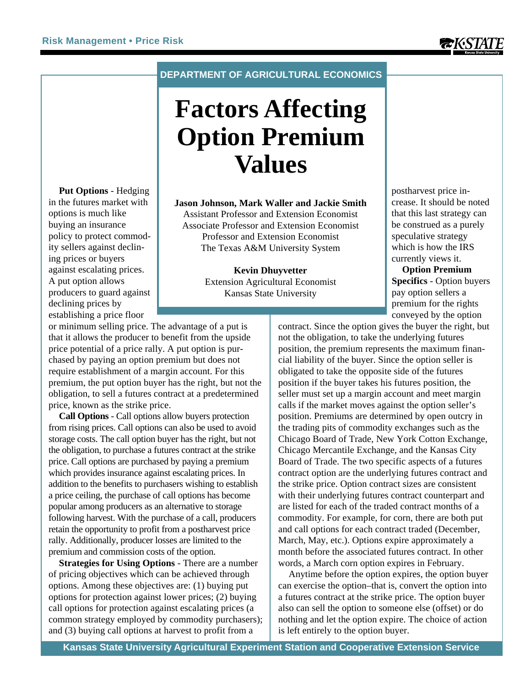**Put Options** - Hedging in the futures market with options is much like buying an insurance policy to protect commodity sellers against declining prices or buyers against escalating prices. A put option allows producers to guard against

## **DEPARTMENT OF AGRICULTURAL ECONOMICS**

# **Factors Affecting Option Premium Values**

**Jason Johnson, Mark Waller and Jackie Smith** Assistant Professor and Extension Economist Associate Professor and Extension Economist Professor and Extension Economist The Texas A&M University System

## **Kevin Dhuyvetter**

Extension Agricultural Economist Kansas State University

declining prices by establishing a price floor or minimum selling price. The advantage of a put is that it allows the producer to benefit from the upside price potential of a price rally. A put option is purchased by paying an option premium but does not require establishment of a margin account. For this premium, the put option buyer has the right, but not the obligation, to sell a futures contract at a predetermined price, known as the strike price.

**Call Options** - Call options allow buyers protection from rising prices. Call options can also be used to avoid storage costs. The call option buyer has the right, but not the obligation, to purchase a futures contract at the strike price. Call options are purchased by paying a premium which provides insurance against escalating prices. In addition to the benefits to purchasers wishing to establish a price ceiling, the purchase of call options has become popular among producers as an alternative to storage following harvest. With the purchase of a call, producers retain the opportunity to profit from a postharvest price rally. Additionally, producer losses are limited to the premium and commission costs of the option.

**Strategies for Using Options** - There are a number of pricing objectives which can be achieved through options. Among these objectives are: (1) buying put options for protection against lower prices; (2) buying call options for protection against escalating prices (a common strategy employed by commodity purchasers); and (3) buying call options at harvest to profit from a

postharvest price increase. It should be noted that this last strategy can be construed as a purely speculative strategy which is how the IRS currently views it.

**Option Premium Specifics** - Option buyers pay option sellers a premium for the rights conveyed by the option

contract. Since the option gives the buyer the right, but not the obligation, to take the underlying futures position, the premium represents the maximum financial liability of the buyer. Since the option seller is obligated to take the opposite side of the futures position if the buyer takes his futures position, the seller must set up a margin account and meet margin calls if the market moves against the option seller's position. Premiums are determined by open outcry in the trading pits of commodity exchanges such as the Chicago Board of Trade, New York Cotton Exchange, Chicago Mercantile Exchange, and the Kansas City Board of Trade. The two specific aspects of a futures contract option are the underlying futures contract and the strike price. Option contract sizes are consistent with their underlying futures contract counterpart and are listed for each of the traded contract months of a commodity. For example, for corn, there are both put and call options for each contract traded (December, March, May, etc.). Options expire approximately a month before the associated futures contract. In other words, a March corn option expires in February.

Anytime before the option expires, the option buyer can exercise the option–that is, convert the option into a futures contract at the strike price. The option buyer also can sell the option to someone else (offset) or do nothing and let the option expire. The choice of action is left entirely to the option buyer.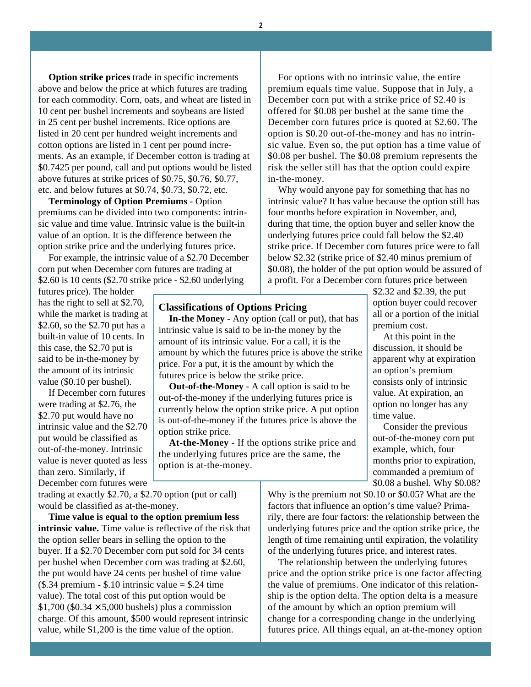**Option strike prices** trade in specific increments above and below the price at which futures are trading for each commodity. Corn, oats, and wheat are listed in 10 cent per bushel increments and soybeans are listed in 25 cent per bushel increments. Rice options are listed in 20 cent per hundred weight increments and cotton options are listed in 1 cent per pound increments. As an example, if December cotton is trading at \$0.7425 per pound, call and put options would be listed above futures at strike prices of \$0.75, \$0.76, \$0.77, etc. and below futures at \$0.74, \$0.73, \$0.72, etc.

**Terminology of Option Premiums** - Option premiums can be divided into two components: intrinsic value and time value. Intrinsic value is the built-in value of an option. It is the difference between the option strike price and the underlying futures price.

For example, the intrinsic value of a \$2.70 December corn put when December corn futures are trading at \$2.60 is 10 cents (\$2.70 strike price - \$2.60 underlying

futures price). The holder has the right to sell at \$2.70, while the market is trading at \$2.60, so the \$2.70 put has a built-in value of 10 cents. In this case, the \$2.70 put is said to be in-the-money by the amount of its intrinsic value (\$0.10 per bushel).

If December corn futures were trading at \$2.76, the \$2.70 put would have no intrinsic value and the \$2.70 put would be classified as out-of-the-money. Intrinsic value is never quoted as less than zero. Similarly, if December corn futures were

trading at exactly \$2.70, a \$2.70 option (put or call) would be classified as at-the-money.

**Time value is equal to the option premium less intrinsic value.** Time value is reflective of the risk that the option seller bears in selling the option to the buyer. If a \$2.70 December corn put sold for 34 cents per bushel when December corn was trading at \$2.60, the put would have 24 cents per bushel of time value  $($.34$  premium - \$.10 intrinsic value = \$.24 time value). The total cost of this put option would be  $$1,700$  (\$0.34  $\times$  5,000 bushels) plus a commission charge. Of this amount, \$500 would represent intrinsic value, while \$1,200 is the time value of the option.

For options with no intrinsic value, the entire premium equals time value. Suppose that in July, a December corn put with a strike price of \$2.40 is offered for \$0.08 per bushel at the same time the December corn futures price is quoted at \$2.60. The option is \$0.20 out-of-the-money and has no intrinsic value. Even so, the put option has a time value of \$0.08 per bushel. The \$0.08 premium represents the risk the seller still has that the option could expire in-the-money.

Why would anyone pay for something that has no intrinsic value? It has value because the option still has four months before expiration in November, and, during that time, the option buyer and seller know the underlying futures price could fall below the \$2.40 strike price. If December corn futures price were to fall below \$2.32 (strike price of \$2.40 minus premium of \$0.08), the holder of the put option would be assured of a profit. For a December corn futures price between

#### **Classifications of Options Pricing**

**In-the Money** - Any option (call or put), that has intrinsic value is said to be in-the money by the amount of its intrinsic value. For a call, it is the amount by which the futures price is above the strike price. For a put, it is the amount by which the futures price is below the strike price.

**Out-of-the-Money** - A call option is said to be out-of-the-money if the underlying futures price is currently below the option strike price. A put option is out-of-the-money if the futures price is above the option strike price.

**At-the-Money** - If the options strike price and the underlying futures price are the same, the option is at-the-money.

\$2.32 and \$2.39, the put option buyer could recover all or a portion of the initial premium cost.

At this point in the discussion, it should be apparent why at expiration an option's premium consists only of intrinsic value. At expiration, an option no longer has any time value.

Consider the previous out-of-the-money corn put example, which, four months prior to expiration, commanded a premium of \$0.08 a bushel. Why \$0.08?

Why is the premium not \$0.10 or \$0.05? What are the factors that influence an option's time value? Primarily, there are four factors: the relationship between the underlying futures price and the option strike price, the length of time remaining until expiration, the volatility of the underlying futures price, and interest rates.

The relationship between the underlying futures price and the option strike price is one factor affecting the value of premiums. One indicator of this relationship is the option delta. The option delta is a measure of the amount by which an option premium will change for a corresponding change in the underlying futures price. All things equal, an at-the-money option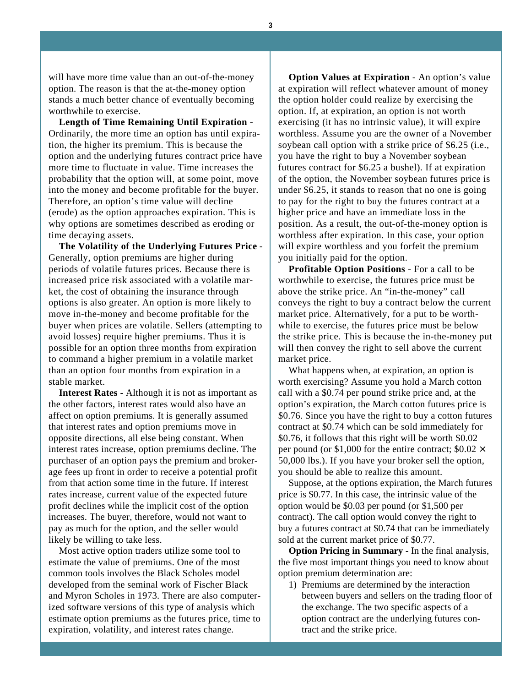will have more time value than an out-of-the-money option. The reason is that the at-the-money option stands a much better chance of eventually becoming worthwhile to exercise.

**Length of Time Remaining Until Expiration -** Ordinarily, the more time an option has until expiration, the higher its premium. This is because the option and the underlying futures contract price have more time to fluctuate in value. Time increases the probability that the option will, at some point, move into the money and become profitable for the buyer. Therefore, an option's time value will decline (erode) as the option approaches expiration. This is why options are sometimes described as eroding or time decaying assets.

**The Volatility of the Underlying Futures Price -** Generally, option premiums are higher during periods of volatile futures prices. Because there is increased price risk associated with a volatile market, the cost of obtaining the insurance through options is also greater. An option is more likely to move in-the-money and become profitable for the buyer when prices are volatile. Sellers (attempting to avoid losses) require higher premiums. Thus it is possible for an option three months from expiration to command a higher premium in a volatile market than an option four months from expiration in a stable market.

**Interest Rates -** Although it is not as important as the other factors, interest rates would also have an affect on option premiums. It is generally assumed that interest rates and option premiums move in opposite directions, all else being constant. When interest rates increase, option premiums decline. The purchaser of an option pays the premium and brokerage fees up front in order to receive a potential profit from that action some time in the future. If interest rates increase, current value of the expected future profit declines while the implicit cost of the option increases. The buyer, therefore, would not want to pay as much for the option, and the seller would likely be willing to take less.

Most active option traders utilize some tool to estimate the value of premiums. One of the most common tools involves the Black Scholes model developed from the seminal work of Fischer Black and Myron Scholes in 1973. There are also computerized software versions of this type of analysis which estimate option premiums as the futures price, time to expiration, volatility, and interest rates change.

**Option Values at Expiration** - An option's value at expiration will reflect whatever amount of money the option holder could realize by exercising the option. If, at expiration, an option is not worth exercising (it has no intrinsic value), it will expire worthless. Assume you are the owner of a November soybean call option with a strike price of \$6.25 (i.e., you have the right to buy a November soybean futures contract for \$6.25 a bushel). If at expiration of the option, the November soybean futures price is under \$6.25, it stands to reason that no one is going to pay for the right to buy the futures contract at a higher price and have an immediate loss in the position. As a result, the out-of-the-money option is worthless after expiration. In this case, your option will expire worthless and you forfeit the premium you initially paid for the option.

**Profitable Option Positions** - For a call to be worthwhile to exercise, the futures price must be above the strike price. An "in-the-money" call conveys the right to buy a contract below the current market price. Alternatively, for a put to be worthwhile to exercise, the futures price must be below the strike price. This is because the in-the-money put will then convey the right to sell above the current market price.

What happens when, at expiration, an option is worth exercising? Assume you hold a March cotton call with a \$0.74 per pound strike price and, at the option's expiration, the March cotton futures price is \$0.76. Since you have the right to buy a cotton futures contract at \$0.74 which can be sold immediately for \$0.76, it follows that this right will be worth \$0.02 per pound (or \$1,000 for the entire contract;  $$0.02 \times$ 50,000 lbs.). If you have your broker sell the option, you should be able to realize this amount.

Suppose, at the options expiration, the March futures price is \$0.77. In this case, the intrinsic value of the option would be \$0.03 per pound (or \$1,500 per contract). The call option would convey the right to buy a futures contract at \$0.74 that can be immediately sold at the current market price of \$0.77.

**Option Pricing in Summary -** In the final analysis, the five most important things you need to know about option premium determination are:

1) Premiums are determined by the interaction between buyers and sellers on the trading floor of the exchange. The two specific aspects of a option contract are the underlying futures contract and the strike price.